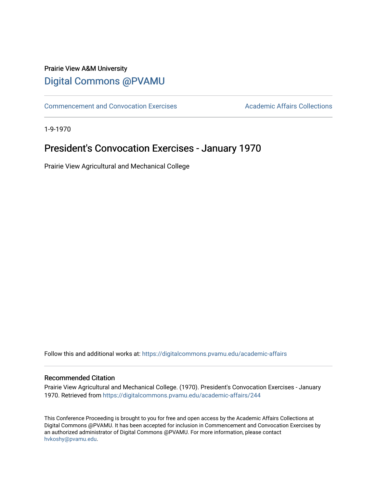## Prairie View A&M University [Digital Commons @PVAMU](https://digitalcommons.pvamu.edu/)

[Commencement and Convocation Exercises](https://digitalcommons.pvamu.edu/academic-affairs) **Academic Affairs Collections** 

1-9-1970

## President's Convocation Exercises - January 1970

Prairie View Agricultural and Mechanical College

Follow this and additional works at: [https://digitalcommons.pvamu.edu/academic-affairs](https://digitalcommons.pvamu.edu/academic-affairs?utm_source=digitalcommons.pvamu.edu%2Facademic-affairs%2F244&utm_medium=PDF&utm_campaign=PDFCoverPages)

## Recommended Citation

Prairie View Agricultural and Mechanical College. (1970). President's Convocation Exercises - January 1970. Retrieved from [https://digitalcommons.pvamu.edu/academic-affairs/244](https://digitalcommons.pvamu.edu/academic-affairs/244?utm_source=digitalcommons.pvamu.edu%2Facademic-affairs%2F244&utm_medium=PDF&utm_campaign=PDFCoverPages) 

This Conference Proceeding is brought to you for free and open access by the Academic Affairs Collections at Digital Commons @PVAMU. It has been accepted for inclusion in Commencement and Convocation Exercises by an authorized administrator of Digital Commons @PVAMU. For more information, please contact [hvkoshy@pvamu.edu](mailto:hvkoshy@pvamu.edu).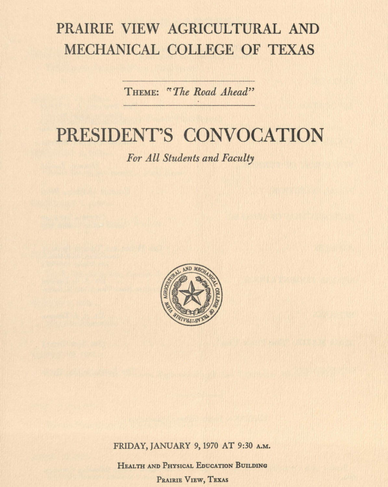# PRAIRIE VIEW AGRICULTURAL AND MECHANICAL COLLEGE OF TEXAS

THEME: "The Road Ahead"

# PRESIDENT'S CONVOCATION

For All Students and Faculty



FRIDAY, JANUARY 9, 1970 AT 9:30 A.M.

HEALTH AND PHYSICAL EDUCATION BUILDING PRAIRIE VIEW, TEXAS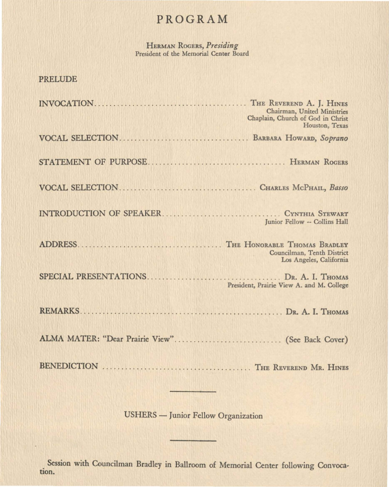## PROGRAM

HERMAN RooERs, *Presiding*  President of the Memorial Center Board

### PRELUDE

| Chairman, United Ministries<br>Chaplain, Church of God in Christ<br>Houston, Texas |
|------------------------------------------------------------------------------------|
|                                                                                    |
|                                                                                    |
|                                                                                    |
| Junior Fellow -- Collins Hall                                                      |
| Councilman, Tenth District<br>Los Angeles, California                              |
| President, Prairie View A. and M. College                                          |
|                                                                                    |
|                                                                                    |
|                                                                                    |

USHERS - Junior Fellow Organization

. Session with Councilman Bradley in Ballroom of Memorial Center following Convocation.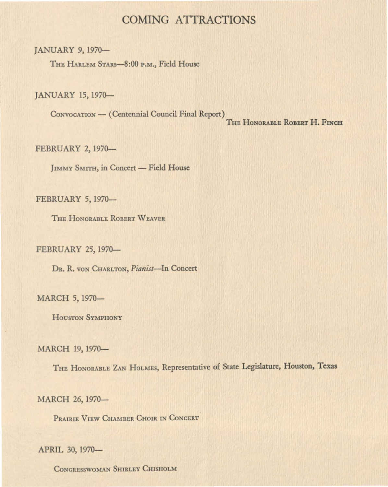## COMING ATTRACTIONS

JANUARY 9, 1970-

THE HARLEM STARS-8:00 P.M., Field House

JANUARY 15, 1970-

CONVOCATION - (Centennial Council Final Report) THE HONORABLE ROBERT H. FINCH

FEBRUARY 2, 1970-

JIMMY SMITH, in Concert - Field House

FEBRUARY 5, 1970-

THE HONORABLE ROBERT WEAVER

FEBRUARY 25, 1970-

DR. R. VON CHARLTON, *Pianist-In* Concert

### MARCH 5, 1970-

HOUSTON SYMPHONY

#### MARCH 19, 1970-

THE HoNORABLE ZAN HoLMEs, Representative of State Legislature, Houston, **Texas** 

MARCH 26, 1970-

PRAIRIE VIEW CHAMBER CHOIR IN CONCERT

#### APRIL 30, 1970-

CONGRESSWOMAN SHIRLEY CHISHOLM